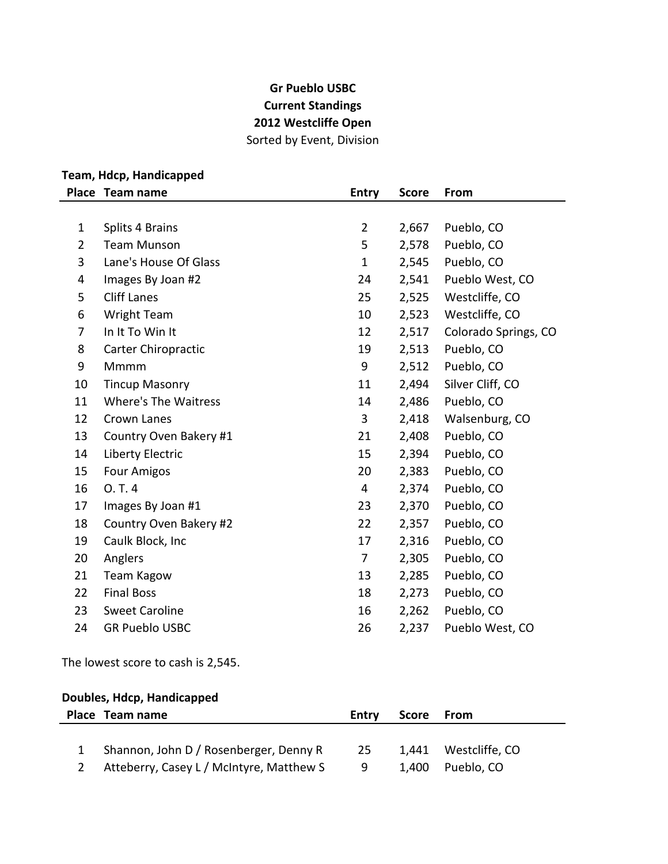## **Gr Pueblo USBC Current Standings 2012 Westcliffe Open** Sorted by Event, Division

## **Team, Hdcp, Handicapped**

|                | Place Team name             | <b>Entry</b>   | <b>Score</b> | From                 |
|----------------|-----------------------------|----------------|--------------|----------------------|
|                |                             |                |              |                      |
| $\mathbf{1}$   | <b>Splits 4 Brains</b>      | $\overline{2}$ | 2,667        | Pueblo, CO           |
| $\overline{2}$ | <b>Team Munson</b>          | 5              | 2,578        | Pueblo, CO           |
| 3              | Lane's House Of Glass       | $\mathbf{1}$   | 2,545        | Pueblo, CO           |
| 4              | Images By Joan #2           | 24             | 2,541        | Pueblo West, CO      |
| 5              | <b>Cliff Lanes</b>          | 25             | 2,525        | Westcliffe, CO       |
| 6              | <b>Wright Team</b>          | 10             | 2,523        | Westcliffe, CO       |
| 7              | In It To Win It             | 12             | 2,517        | Colorado Springs, CO |
| 8              | Carter Chiropractic         | 19             | 2,513        | Pueblo, CO           |
| 9              | Mmmm                        | 9              | 2,512        | Pueblo, CO           |
| 10             | <b>Tincup Masonry</b>       | 11             | 2,494        | Silver Cliff, CO     |
| 11             | <b>Where's The Waitress</b> | 14             | 2,486        | Pueblo, CO           |
| 12             | Crown Lanes                 | 3              | 2,418        | Walsenburg, CO       |
| 13             | Country Oven Bakery #1      | 21             | 2,408        | Pueblo, CO           |
| 14             | Liberty Electric            | 15             | 2,394        | Pueblo, CO           |
| 15             | <b>Four Amigos</b>          | 20             | 2,383        | Pueblo, CO           |
| 16             | 0. T. 4                     | 4              | 2,374        | Pueblo, CO           |
| 17             | Images By Joan #1           | 23             | 2,370        | Pueblo, CO           |
| 18             | Country Oven Bakery #2      | 22             | 2,357        | Pueblo, CO           |
| 19             | Caulk Block, Inc            | 17             | 2,316        | Pueblo, CO           |
| 20             | Anglers                     | 7              | 2,305        | Pueblo, CO           |
| 21             | <b>Team Kagow</b>           | 13             | 2,285        | Pueblo, CO           |
| 22             | <b>Final Boss</b>           | 18             | 2,273        | Pueblo, CO           |
| 23             | <b>Sweet Caroline</b>       | 16             | 2,262        | Pueblo, CO           |
| 24             | <b>GR Pueblo USBC</b>       | 26             | 2,237        | Pueblo West, CO      |

The lowest score to cash is 2,545.

### **Doubles, Hdcp, Handicapped**

| Place Team name                          | <b>Entry</b> | Score From |                      |
|------------------------------------------|--------------|------------|----------------------|
|                                          |              |            |                      |
| 1 Shannon, John D / Rosenberger, Denny R | -25          |            | 1,441 Westcliffe, CO |
| Atteberry, Casey L / McIntyre, Matthew S | g            |            | 1,400 Pueblo, CO     |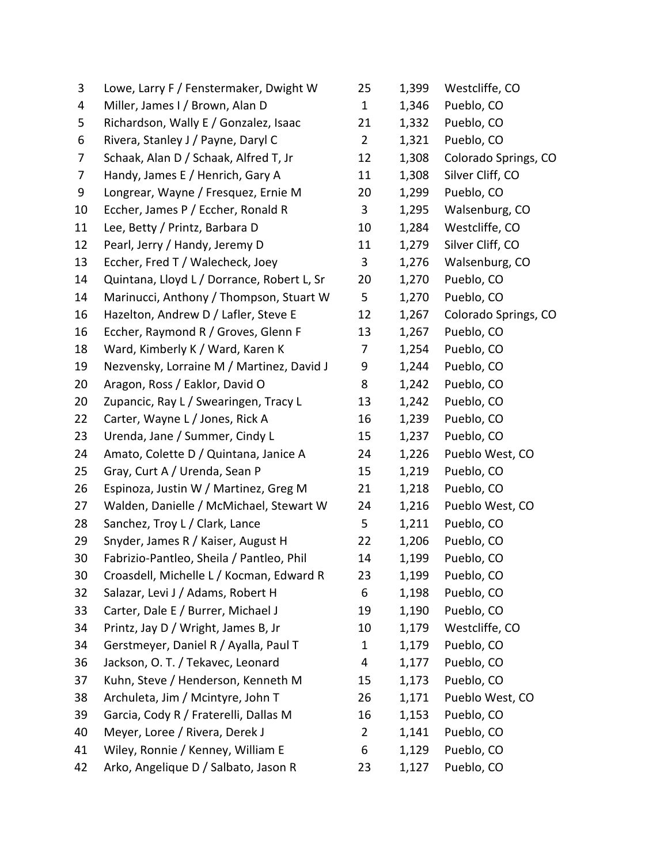| 3  | Lowe, Larry F / Fenstermaker, Dwight W     | 25             | 1,399 | Westcliffe, CO       |
|----|--------------------------------------------|----------------|-------|----------------------|
| 4  | Miller, James I / Brown, Alan D            | $\mathbf{1}$   | 1,346 | Pueblo, CO           |
| 5  | Richardson, Wally E / Gonzalez, Isaac      | 21             | 1,332 | Pueblo, CO           |
| 6  | Rivera, Stanley J / Payne, Daryl C         | $\overline{2}$ | 1,321 | Pueblo, CO           |
| 7  | Schaak, Alan D / Schaak, Alfred T, Jr      | 12             | 1,308 | Colorado Springs, CO |
| 7  | Handy, James E / Henrich, Gary A           | 11             | 1,308 | Silver Cliff, CO     |
| 9  | Longrear, Wayne / Fresquez, Ernie M        | 20             | 1,299 | Pueblo, CO           |
| 10 | Eccher, James P / Eccher, Ronald R         | 3              | 1,295 | Walsenburg, CO       |
| 11 | Lee, Betty / Printz, Barbara D             | 10             | 1,284 | Westcliffe, CO       |
| 12 | Pearl, Jerry / Handy, Jeremy D             | 11             | 1,279 | Silver Cliff, CO     |
| 13 | Eccher, Fred T / Walecheck, Joey           | 3              | 1,276 | Walsenburg, CO       |
| 14 | Quintana, Lloyd L / Dorrance, Robert L, Sr | 20             | 1,270 | Pueblo, CO           |
| 14 | Marinucci, Anthony / Thompson, Stuart W    | 5              | 1,270 | Pueblo, CO           |
| 16 | Hazelton, Andrew D / Lafler, Steve E       | 12             | 1,267 | Colorado Springs, CO |
| 16 | Eccher, Raymond R / Groves, Glenn F        | 13             | 1,267 | Pueblo, CO           |
| 18 | Ward, Kimberly K / Ward, Karen K           | 7              | 1,254 | Pueblo, CO           |
| 19 | Nezvensky, Lorraine M / Martinez, David J  | 9              | 1,244 | Pueblo, CO           |
| 20 | Aragon, Ross / Eaklor, David O             | 8              | 1,242 | Pueblo, CO           |
| 20 | Zupancic, Ray L / Swearingen, Tracy L      | 13             | 1,242 | Pueblo, CO           |
| 22 | Carter, Wayne L / Jones, Rick A            | 16             | 1,239 | Pueblo, CO           |
| 23 | Urenda, Jane / Summer, Cindy L             | 15             | 1,237 | Pueblo, CO           |
| 24 | Amato, Colette D / Quintana, Janice A      | 24             | 1,226 | Pueblo West, CO      |
| 25 | Gray, Curt A / Urenda, Sean P              | 15             | 1,219 | Pueblo, CO           |
| 26 | Espinoza, Justin W / Martinez, Greg M      | 21             | 1,218 | Pueblo, CO           |
| 27 | Walden, Danielle / McMichael, Stewart W    | 24             | 1,216 | Pueblo West, CO      |
| 28 | Sanchez, Troy L / Clark, Lance             | 5              | 1,211 | Pueblo, CO           |
| 29 | Snyder, James R / Kaiser, August H         | 22             | 1,206 | Pueblo, CO           |
| 30 | Fabrizio-Pantleo, Sheila / Pantleo, Phil   | 14             | 1,199 | Pueblo, CO           |
| 30 | Croasdell, Michelle L / Kocman, Edward R   | 23             | 1,199 | Pueblo, CO           |
| 32 | Salazar, Levi J / Adams, Robert H          | 6              | 1,198 | Pueblo, CO           |
| 33 | Carter, Dale E / Burrer, Michael J         | 19             | 1,190 | Pueblo, CO           |
| 34 | Printz, Jay D / Wright, James B, Jr        | 10             | 1,179 | Westcliffe, CO       |
| 34 | Gerstmeyer, Daniel R / Ayalla, Paul T      | $\mathbf 1$    | 1,179 | Pueblo, CO           |
| 36 | Jackson, O. T. / Tekavec, Leonard          | 4              | 1,177 | Pueblo, CO           |
| 37 | Kuhn, Steve / Henderson, Kenneth M         | 15             | 1,173 | Pueblo, CO           |
| 38 | Archuleta, Jim / Mcintyre, John T          | 26             | 1,171 | Pueblo West, CO      |
| 39 | Garcia, Cody R / Fraterelli, Dallas M      | 16             | 1,153 | Pueblo, CO           |
| 40 | Meyer, Loree / Rivera, Derek J             | $\overline{2}$ | 1,141 | Pueblo, CO           |
| 41 | Wiley, Ronnie / Kenney, William E          | 6              | 1,129 | Pueblo, CO           |
| 42 | Arko, Angelique D / Salbato, Jason R       | 23             | 1,127 | Pueblo, CO           |

| 25             | 1,399 | Westcliffe, CO        |
|----------------|-------|-----------------------|
| $\mathbf{1}$   | 1,346 | Pueblo, CO            |
| 21             | 1,332 | Pueblo, CO            |
| $\overline{2}$ | 1,321 | Pueblo, CO            |
| 12             | 1,308 | Colorado Springs, CO  |
| 11             | 1,308 | Silver Cliff, CO      |
| 20             | 1,299 | Pueblo, CO            |
| 3              | 1,295 | Walsenburg, CO        |
| 10             | 1,284 | Westcliffe, CO        |
| 11             | 1,279 | Silver Cliff, CO      |
| 3              | 1,276 | Walsenburg, CO        |
| 20             | 1,270 | Pueblo, CO            |
| 5              |       | 1,270 Pueblo, CO      |
| 12             | 1,267 | Colorado Springs, CO  |
| 13             | 1,267 | Pueblo, CO            |
| $\overline{7}$ |       | 1,254 Pueblo, CO      |
| 9              | 1,244 | Pueblo, CO            |
| 8              | 1,242 | Pueblo, CO            |
| 13             |       | 1,242 Pueblo, CO      |
| 16             | 1,239 | Pueblo, CO            |
| 15             | 1,237 | Pueblo, CO            |
| 24             | 1,226 | Pueblo West, CO       |
| 15             | 1,219 | Pueblo, CO            |
| 21             | 1,218 | Pueblo, CO            |
| 24             |       | 1,216 Pueblo West, CO |
| 5              | 1,211 | Pueblo, CO            |
| 22             |       | 1,206 Pueblo, CO      |
| 14             |       | 1,199 Pueblo, CO      |
| 23             | 1,199 | Pueblo, CO            |
| 6              | 1,198 | Pueblo, CO            |
| 19             | 1,190 | Pueblo, CO            |
| 10             | 1,179 | Westcliffe, CO        |
| $\mathbf{1}$   | 1,179 | Pueblo, CO            |
| 4              | 1,177 | Pueblo, CO            |
| 15             | 1,173 | Pueblo, CO            |
| 26             | 1,171 | Pueblo West, CO       |
| 16             | 1,153 | Pueblo, CO            |
| $\overline{2}$ | 1,141 | Pueblo, CO            |
| 6              | 1,129 | Pueblo, CO            |
| 23             | 1,127 | Pueblo, CO            |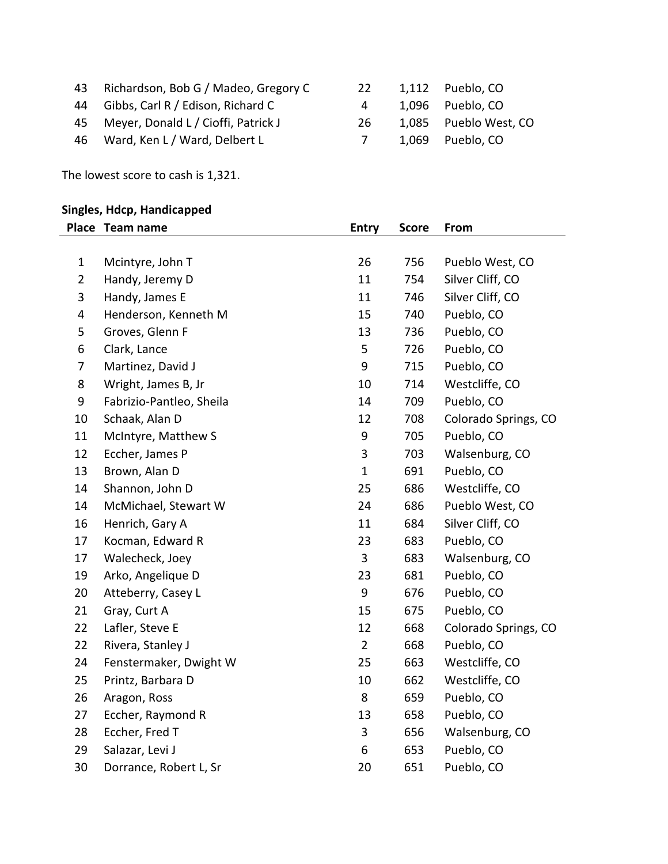| 43 Richardson, Bob G / Madeo, Gregory C | <b>22</b> | 1,112 Pueblo, CO      |
|-----------------------------------------|-----------|-----------------------|
| 44 Gibbs, Carl R / Edison, Richard C    | 4         | 1,096 Pueblo, CO      |
| 45 Meyer, Donald L / Cioffi, Patrick J  | 26.       | 1,085 Pueblo West, CO |
| 46 Ward, Ken L / Ward, Delbert L        |           | 1,069 Pueblo, CO      |

The lowest score to cash is 1,321.

| <b>Singles, Hdcp, Handicapped</b> |                          |                |              |                      |
|-----------------------------------|--------------------------|----------------|--------------|----------------------|
|                                   | Place Team name          | <b>Entry</b>   | <b>Score</b> | From                 |
|                                   |                          |                |              |                      |
| $\mathbf{1}$                      | Mcintyre, John T         | 26             | 756          | Pueblo West, CO      |
| $\overline{2}$                    | Handy, Jeremy D          | 11             | 754          | Silver Cliff, CO     |
| 3                                 | Handy, James E           | 11             | 746          | Silver Cliff, CO     |
| 4                                 | Henderson, Kenneth M     | 15             | 740          | Pueblo, CO           |
| 5                                 | Groves, Glenn F          | 13             | 736          | Pueblo, CO           |
| 6                                 | Clark, Lance             | 5              | 726          | Pueblo, CO           |
| 7                                 | Martinez, David J        | 9              | 715          | Pueblo, CO           |
| 8                                 | Wright, James B, Jr      | 10             | 714          | Westcliffe, CO       |
| 9                                 | Fabrizio-Pantleo, Sheila | 14             | 709          | Pueblo, CO           |
| 10                                | Schaak, Alan D           | 12             | 708          | Colorado Springs, CO |
| 11                                | McIntyre, Matthew S      | 9              | 705          | Pueblo, CO           |
| 12                                | Eccher, James P          | 3              | 703          | Walsenburg, CO       |
| 13                                | Brown, Alan D            | $\mathbf{1}$   | 691          | Pueblo, CO           |
| 14                                | Shannon, John D          | 25             | 686          | Westcliffe, CO       |
| 14                                | McMichael, Stewart W     | 24             | 686          | Pueblo West, CO      |
| 16                                | Henrich, Gary A          | 11             | 684          | Silver Cliff, CO     |
| 17                                | Kocman, Edward R         | 23             | 683          | Pueblo, CO           |
| 17                                | Walecheck, Joey          | 3              | 683          | Walsenburg, CO       |
| 19                                | Arko, Angelique D        | 23             | 681          | Pueblo, CO           |
| 20                                | Atteberry, Casey L       | 9              | 676          | Pueblo, CO           |
| 21                                | Gray, Curt A             | 15             | 675          | Pueblo, CO           |
| 22                                | Lafler, Steve E          | 12             | 668          | Colorado Springs, CO |
| 22                                | Rivera, Stanley J        | $\overline{2}$ | 668          | Pueblo, CO           |
| 24                                | Fenstermaker, Dwight W   | 25             | 663          | Westcliffe, CO       |
| 25                                | Printz, Barbara D        | 10             | 662          | Westcliffe, CO       |
| 26                                | Aragon, Ross             | 8              | 659          | Pueblo, CO           |
| 27                                | Eccher, Raymond R        | 13             | 658          | Pueblo, CO           |
| 28                                | Eccher, Fred T           | 3              | 656          | Walsenburg, CO       |
| 29                                | Salazar, Levi J          | 6              | 653          | Pueblo, CO           |
| 30                                | Dorrance, Robert L, Sr   | 20             | 651          | Pueblo, CO           |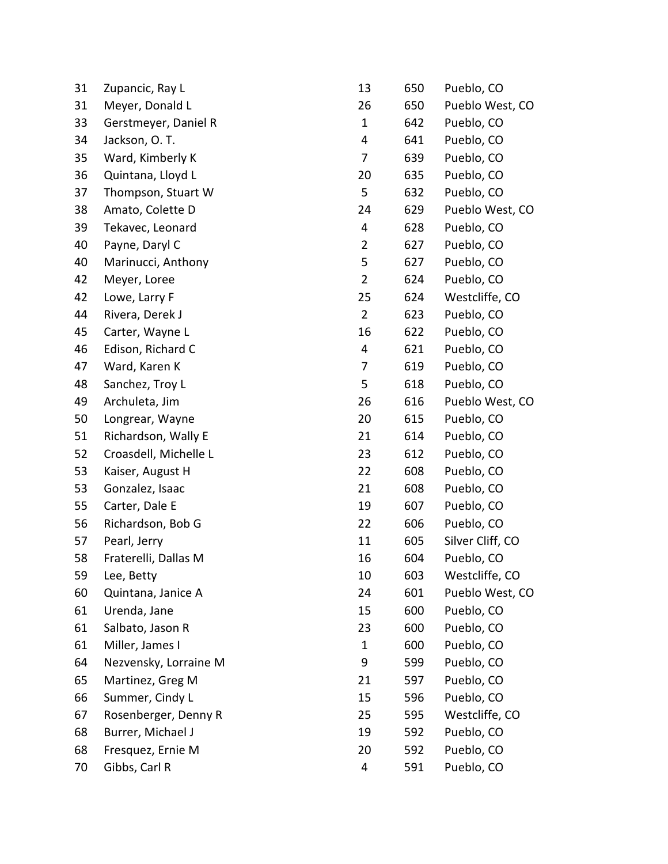| 31 | Zupancic, Ray L       | 13             | 650 | Pueblo, CO       |
|----|-----------------------|----------------|-----|------------------|
| 31 | Meyer, Donald L       | 26             | 650 | Pueblo West, CO  |
| 33 | Gerstmeyer, Daniel R  | $\mathbf{1}$   | 642 | Pueblo, CO       |
| 34 | Jackson, O.T.         | 4              | 641 | Pueblo, CO       |
| 35 | Ward, Kimberly K      | 7              | 639 | Pueblo, CO       |
| 36 | Quintana, Lloyd L     | 20             | 635 | Pueblo, CO       |
| 37 | Thompson, Stuart W    | 5              | 632 | Pueblo, CO       |
| 38 | Amato, Colette D      | 24             | 629 | Pueblo West, CO  |
| 39 | Tekavec, Leonard      | 4              | 628 | Pueblo, CO       |
| 40 | Payne, Daryl C        | $\overline{2}$ | 627 | Pueblo, CO       |
| 40 | Marinucci, Anthony    | 5              | 627 | Pueblo, CO       |
| 42 | Meyer, Loree          | $\overline{2}$ | 624 | Pueblo, CO       |
| 42 | Lowe, Larry F         | 25             | 624 | Westcliffe, CO   |
| 44 | Rivera, Derek J       | $\overline{2}$ | 623 | Pueblo, CO       |
| 45 | Carter, Wayne L       | 16             | 622 | Pueblo, CO       |
| 46 | Edison, Richard C     | 4              | 621 | Pueblo, CO       |
| 47 | Ward, Karen K         | 7              | 619 | Pueblo, CO       |
| 48 | Sanchez, Troy L       | 5              | 618 | Pueblo, CO       |
| 49 | Archuleta, Jim        | 26             | 616 | Pueblo West, CO  |
| 50 | Longrear, Wayne       | 20             | 615 | Pueblo, CO       |
| 51 | Richardson, Wally E   | 21             | 614 | Pueblo, CO       |
| 52 | Croasdell, Michelle L | 23             | 612 | Pueblo, CO       |
| 53 | Kaiser, August H      | 22             | 608 | Pueblo, CO       |
| 53 | Gonzalez, Isaac       | 21             | 608 | Pueblo, CO       |
| 55 | Carter, Dale E        | 19             | 607 | Pueblo, CO       |
| 56 | Richardson, Bob G     | 22             | 606 | Pueblo, CO       |
| 57 | Pearl, Jerry          | 11             | 605 | Silver Cliff, CO |
| 58 | Fraterelli, Dallas M  | 16             | 604 | Pueblo, CO       |
| 59 | Lee, Betty            | 10             | 603 | Westcliffe, CO   |
| 60 | Quintana, Janice A    | 24             | 601 | Pueblo West, CO  |
| 61 | Urenda, Jane          | 15             | 600 | Pueblo, CO       |
| 61 | Salbato, Jason R      | 23             | 600 | Pueblo, CO       |
| 61 | Miller, James I       | 1              | 600 | Pueblo, CO       |
| 64 | Nezvensky, Lorraine M | 9              | 599 | Pueblo, CO       |
| 65 | Martinez, Greg M      | 21             | 597 | Pueblo, CO       |
| 66 | Summer, Cindy L       | 15             | 596 | Pueblo, CO       |
| 67 | Rosenberger, Denny R  | 25             | 595 | Westcliffe, CO   |
| 68 | Burrer, Michael J     | 19             | 592 | Pueblo, CO       |
| 68 | Fresquez, Ernie M     | 20             | 592 | Pueblo, CO       |
| 70 | Gibbs, Carl R         | 4              | 591 | Pueblo, CO       |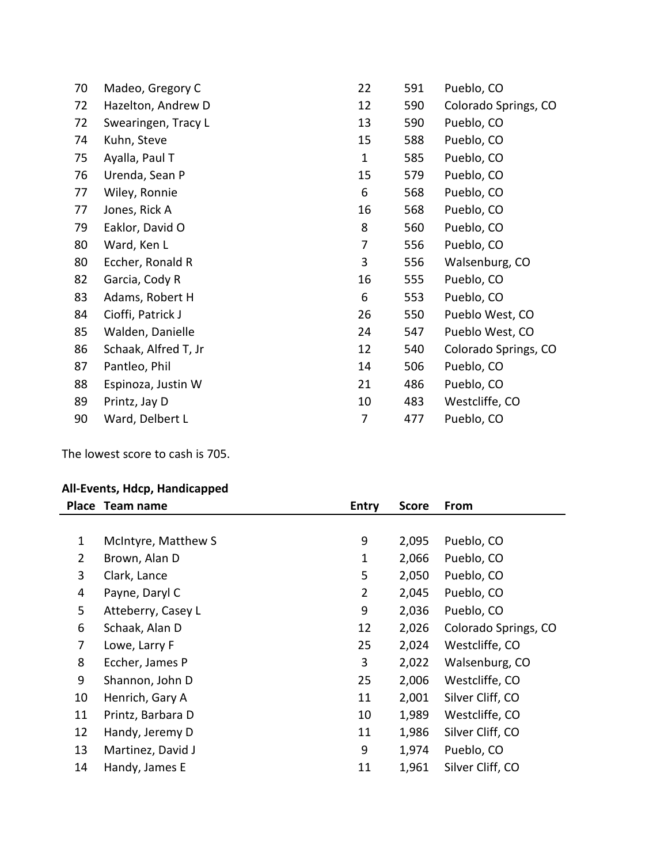| 70 | Madeo, Gregory C     | 22           | 591 | Pueblo, CO           |
|----|----------------------|--------------|-----|----------------------|
| 72 | Hazelton, Andrew D   | 12           | 590 | Colorado Springs, CO |
| 72 | Swearingen, Tracy L  | 13           | 590 | Pueblo, CO           |
| 74 | Kuhn, Steve          | 15           | 588 | Pueblo, CO           |
| 75 | Ayalla, Paul T       | $\mathbf{1}$ | 585 | Pueblo, CO           |
| 76 | Urenda, Sean P       | 15           | 579 | Pueblo, CO           |
| 77 | Wiley, Ronnie        | 6            | 568 | Pueblo, CO           |
| 77 | Jones, Rick A        | 16           | 568 | Pueblo, CO           |
| 79 | Eaklor, David O      | 8            | 560 | Pueblo, CO           |
| 80 | Ward, Ken L          | 7            | 556 | Pueblo, CO           |
| 80 | Eccher, Ronald R     | 3            | 556 | Walsenburg, CO       |
| 82 | Garcia, Cody R       | 16           | 555 | Pueblo, CO           |
| 83 | Adams, Robert H      | 6            | 553 | Pueblo, CO           |
| 84 | Cioffi, Patrick J    | 26           | 550 | Pueblo West, CO      |
| 85 | Walden, Danielle     | 24           | 547 | Pueblo West, CO      |
| 86 | Schaak, Alfred T, Jr | 12           | 540 | Colorado Springs, CO |
| 87 | Pantleo, Phil        | 14           | 506 | Pueblo, CO           |
| 88 | Espinoza, Justin W   | 21           | 486 | Pueblo, CO           |
| 89 | Printz, Jay D        | 10           | 483 | Westcliffe, CO       |
| 90 | Ward, Delbert L      | 7            | 477 | Pueblo, CO           |
|    |                      |              |     |                      |

The lowest score to cash is 705.

# **All-Events, Hdcp, Handicapped**

|              | Place Team name     | <b>Entry</b>   | <b>Score</b> | From                 |
|--------------|---------------------|----------------|--------------|----------------------|
|              |                     |                |              |                      |
| $\mathbf{1}$ | McIntyre, Matthew S | 9              | 2,095        | Pueblo, CO           |
| 2            | Brown, Alan D       | $\mathbf{1}$   | 2,066        | Pueblo, CO           |
| 3            | Clark, Lance        | 5              | 2,050        | Pueblo, CO           |
| 4            | Payne, Daryl C      | $\overline{2}$ | 2,045        | Pueblo, CO           |
| 5            | Atteberry, Casey L  | 9              | 2,036        | Pueblo, CO           |
| 6            | Schaak, Alan D      | 12             | 2,026        | Colorado Springs, CO |
| 7            | Lowe, Larry F       | 25             | 2,024        | Westcliffe, CO       |
| 8            | Eccher, James P     | 3              | 2,022        | Walsenburg, CO       |
| 9            | Shannon, John D     | 25             | 2,006        | Westcliffe, CO       |
| 10           | Henrich, Gary A     | 11             | 2,001        | Silver Cliff, CO     |
| 11           | Printz, Barbara D   | 10             | 1,989        | Westcliffe, CO       |
| 12           | Handy, Jeremy D     | 11             | 1,986        | Silver Cliff, CO     |
| 13           | Martinez, David J   | 9              | 1,974        | Pueblo, CO           |
| 14           | Handy, James E      | 11             | 1,961        | Silver Cliff, CO     |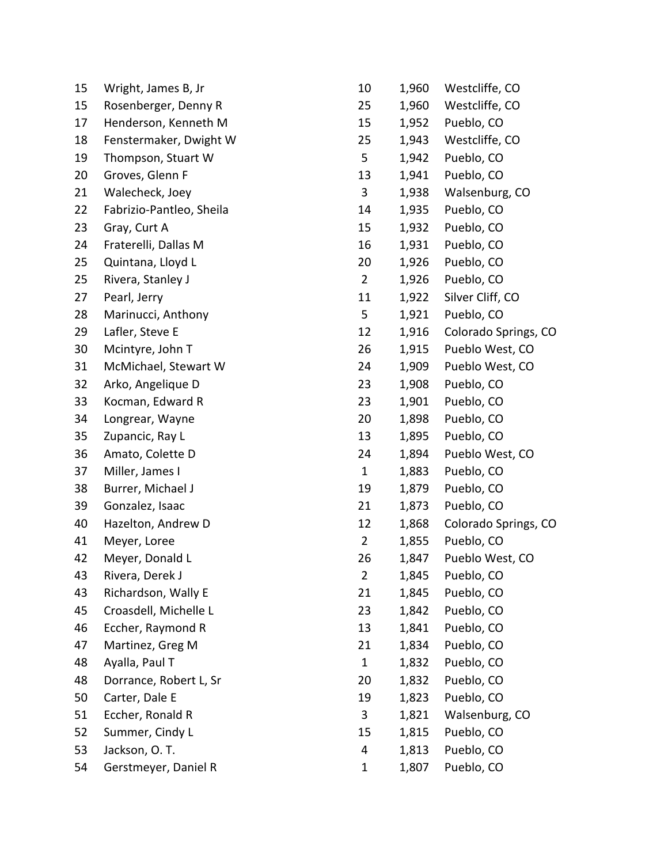| 15 | Wright, James B, Jr      | 10             | 1,960 | Westcliffe, CO       |
|----|--------------------------|----------------|-------|----------------------|
| 15 | Rosenberger, Denny R     | 25             | 1,960 | Westcliffe, CO       |
| 17 | Henderson, Kenneth M     | 15             | 1,952 | Pueblo, CO           |
| 18 | Fenstermaker, Dwight W   | 25             | 1,943 | Westcliffe, CO       |
| 19 | Thompson, Stuart W       | 5              | 1,942 | Pueblo, CO           |
| 20 | Groves, Glenn F          | 13             | 1,941 | Pueblo, CO           |
| 21 | Walecheck, Joey          | 3              | 1,938 | Walsenburg, CO       |
| 22 | Fabrizio-Pantleo, Sheila | 14             | 1,935 | Pueblo, CO           |
| 23 | Gray, Curt A             | 15             | 1,932 | Pueblo, CO           |
| 24 | Fraterelli, Dallas M     | 16             | 1,931 | Pueblo, CO           |
| 25 | Quintana, Lloyd L        | 20             | 1,926 | Pueblo, CO           |
| 25 | Rivera, Stanley J        | $\overline{2}$ | 1,926 | Pueblo, CO           |
| 27 | Pearl, Jerry             | 11             | 1,922 | Silver Cliff, CO     |
| 28 | Marinucci, Anthony       | 5              | 1,921 | Pueblo, CO           |
| 29 | Lafler, Steve E          | 12             | 1,916 | Colorado Springs, CO |
| 30 | Mcintyre, John T         | 26             | 1,915 | Pueblo West, CO      |
| 31 | McMichael, Stewart W     | 24             | 1,909 | Pueblo West, CO      |
| 32 | Arko, Angelique D        | 23             | 1,908 | Pueblo, CO           |
| 33 | Kocman, Edward R         | 23             | 1,901 | Pueblo, CO           |
| 34 | Longrear, Wayne          | 20             | 1,898 | Pueblo, CO           |
| 35 | Zupancic, Ray L          | 13             | 1,895 | Pueblo, CO           |
| 36 | Amato, Colette D         | 24             | 1,894 | Pueblo West, CO      |
| 37 | Miller, James I          | $\mathbf{1}$   | 1,883 | Pueblo, CO           |
| 38 | Burrer, Michael J        | 19             | 1,879 | Pueblo, CO           |
| 39 | Gonzalez, Isaac          | 21             | 1,873 | Pueblo, CO           |
| 40 | Hazelton, Andrew D       | 12             | 1,868 | Colorado Springs, CO |
| 41 | Meyer, Loree             | $\overline{2}$ | 1,855 | Pueblo, CO           |
| 42 | Meyer, Donald L          | 26             | 1,847 | Pueblo West, CO      |
| 43 | Rivera, Derek J          | $\overline{2}$ | 1,845 | Pueblo, CO           |
| 43 | Richardson, Wally E      | 21             | 1,845 | Pueblo, CO           |
| 45 | Croasdell, Michelle L    | 23             | 1,842 | Pueblo, CO           |
| 46 | Eccher, Raymond R        | 13             | 1,841 | Pueblo, CO           |
| 47 | Martinez, Greg M         | 21             | 1,834 | Pueblo, CO           |
| 48 | Ayalla, Paul T           | $\mathbf{1}$   | 1,832 | Pueblo, CO           |
| 48 | Dorrance, Robert L, Sr   | 20             | 1,832 | Pueblo, CO           |
| 50 | Carter, Dale E           | 19             | 1,823 | Pueblo, CO           |
| 51 | Eccher, Ronald R         | 3              | 1,821 | Walsenburg, CO       |
| 52 | Summer, Cindy L          | 15             | 1,815 | Pueblo, CO           |
| 53 | Jackson, O.T.            | 4              | 1,813 | Pueblo, CO           |
| 54 | Gerstmeyer, Daniel R     | 1              | 1,807 | Pueblo, CO           |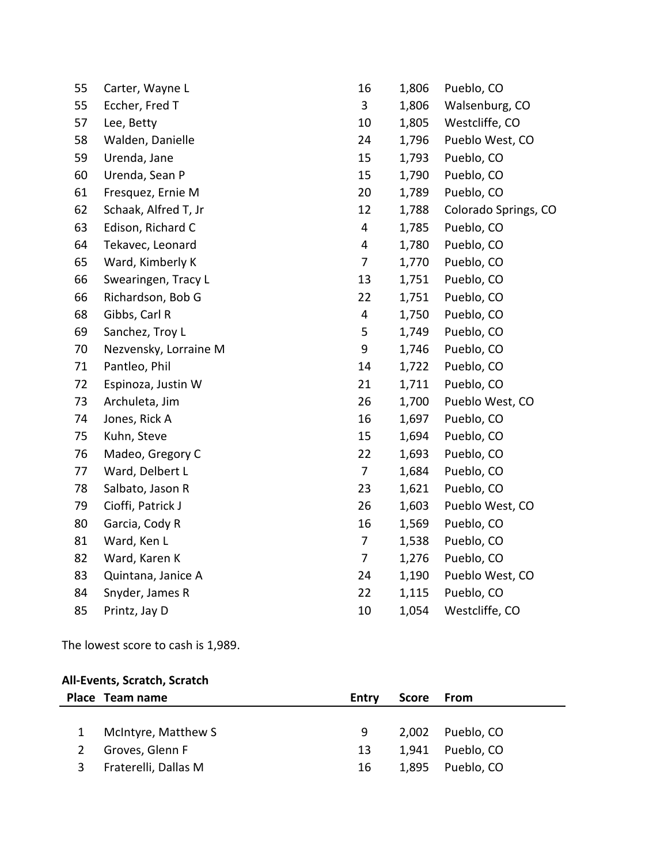| 55 | Carter, Wayne L       | 16                      | 1,806 | Pueblo, CO           |
|----|-----------------------|-------------------------|-------|----------------------|
| 55 | Eccher, Fred T        | 3                       | 1,806 | Walsenburg, CO       |
| 57 | Lee, Betty            | 10                      | 1,805 | Westcliffe, CO       |
| 58 | Walden, Danielle      | 24                      | 1,796 | Pueblo West, CO      |
| 59 | Urenda, Jane          | 15                      | 1,793 | Pueblo, CO           |
| 60 | Urenda, Sean P        | 15                      | 1,790 | Pueblo, CO           |
| 61 | Fresquez, Ernie M     | 20                      | 1,789 | Pueblo, CO           |
| 62 | Schaak, Alfred T, Jr  | 12                      | 1,788 | Colorado Springs, CO |
| 63 | Edison, Richard C     | 4                       | 1,785 | Pueblo, CO           |
| 64 | Tekavec, Leonard      | 4                       | 1,780 | Pueblo, CO           |
| 65 | Ward, Kimberly K      | 7                       | 1,770 | Pueblo, CO           |
| 66 | Swearingen, Tracy L   | 13                      | 1,751 | Pueblo, CO           |
| 66 | Richardson, Bob G     | 22                      | 1,751 | Pueblo, CO           |
| 68 | Gibbs, Carl R         | $\overline{\mathbf{4}}$ | 1,750 | Pueblo, CO           |
| 69 | Sanchez, Troy L       | 5                       | 1,749 | Pueblo, CO           |
| 70 | Nezvensky, Lorraine M | 9                       | 1,746 | Pueblo, CO           |
| 71 | Pantleo, Phil         | 14                      | 1,722 | Pueblo, CO           |
| 72 | Espinoza, Justin W    | 21                      | 1,711 | Pueblo, CO           |
| 73 | Archuleta, Jim        | 26                      | 1,700 | Pueblo West, CO      |
| 74 | Jones, Rick A         | 16                      | 1,697 | Pueblo, CO           |
| 75 | Kuhn, Steve           | 15                      | 1,694 | Pueblo, CO           |
| 76 | Madeo, Gregory C      | 22                      | 1,693 | Pueblo, CO           |
| 77 | Ward, Delbert L       | 7                       | 1,684 | Pueblo, CO           |
| 78 | Salbato, Jason R      | 23                      | 1,621 | Pueblo, CO           |
| 79 | Cioffi, Patrick J     | 26                      | 1,603 | Pueblo West, CO      |
| 80 | Garcia, Cody R        | 16                      | 1,569 | Pueblo, CO           |
| 81 | Ward, Ken L           | 7                       | 1,538 | Pueblo, CO           |
| 82 | Ward, Karen K         | 7                       | 1,276 | Pueblo, CO           |
| 83 | Quintana, Janice A    | 24                      | 1,190 | Pueblo West, CO      |
| 84 | Snyder, James R       | 22                      | 1,115 | Pueblo, CO           |
| 85 | Printz, Jay D         | 10                      | 1,054 | Westcliffe, CO       |

The lowest score to cash is 1,989.

# **All-Events, Scratch, Scratch**

|   | Place Team name      | Entry | Score From |                  |
|---|----------------------|-------|------------|------------------|
|   |                      |       |            |                  |
|   | McIntyre, Matthew S  | 9     |            | 2,002 Pueblo, CO |
|   | Groves, Glenn F      | 13    |            | 1,941 Pueblo, CO |
| 3 | Fraterelli, Dallas M | 16    |            | 1,895 Pueblo, CO |